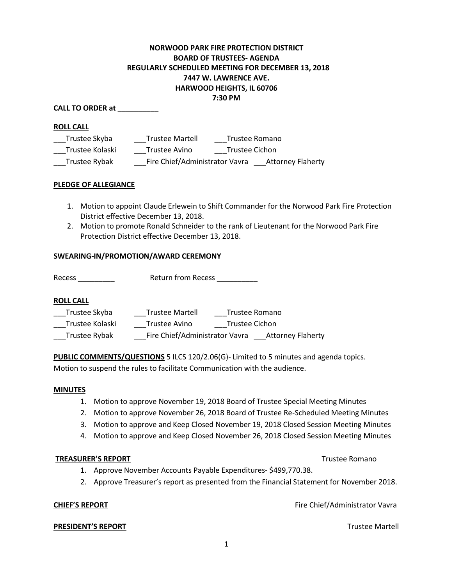# **NORWOOD PARK FIRE PROTECTION DISTRICT BOARD OF TRUSTEES- AGENDA REGULARLY SCHEDULED MEETING FOR DECEMBER 13, 2018 7447 W. LAWRENCE AVE. HARWOOD HEIGHTS, IL 60706 7:30 PM**

## **CALL TO ORDER at** \_\_\_\_\_\_\_\_\_\_

### **ROLL CALL**

| Trustee Skyba   | <b>Trustee Martell</b>                                     | Trustee Romano |
|-----------------|------------------------------------------------------------|----------------|
| Trustee Kolaski | Trustee Avino                                              | Trustee Cichon |
| Trustee Rybak   | Fire Chief/Administrator Vavra<br><b>Attorney Flaherty</b> |                |

### **PLEDGE OF ALLEGIANCE**

- 1. Motion to appoint Claude Erlewein to Shift Commander for the Norwood Park Fire Protection District effective December 13, 2018.
- 2. Motion to promote Ronald Schneider to the rank of Lieutenant for the Norwood Park Fire Protection District effective December 13, 2018.

### **SWEARING-IN/PROMOTION/AWARD CEREMONY**

Recess **Recess Return from Recess Recess** 

### **ROLL CALL**

| Trustee Skyba   | <b>Trustee Martell</b>         | Trustee Romano           |
|-----------------|--------------------------------|--------------------------|
| Trustee Kolaski | Trustee Avino                  | Trustee Cichon           |
| Trustee Rybak   | Fire Chief/Administrator Vavra | <b>Attorney Flaherty</b> |

**PUBLIC COMMENTS/QUESTIONS** 5 ILCS 120/2.06(G)- Limited to 5 minutes and agenda topics. Motion to suspend the rules to facilitate Communication with the audience.

### **MINUTES**

- 1. Motion to approve November 19, 2018 Board of Trustee Special Meeting Minutes
- 2. Motion to approve November 26, 2018 Board of Trustee Re-Scheduled Meeting Minutes
- 3. Motion to approve and Keep Closed November 19, 2018 Closed Session Meeting Minutes
- 4. Motion to approve and Keep Closed November 26, 2018 Closed Session Meeting Minutes

### **TREASURER'S REPORT** TREASURER'S REPORT

- 1. Approve November Accounts Payable Expenditures- \$499,770.38.
- 2. Approve Treasurer's report as presented from the Financial Statement for November 2018.

**CHIEF'S REPORT FIRE ALL ASSESS** FIRE Chief/Administrator Vavra

**PRESIDENT'S REPORT** THE RESIDENT'S REPORT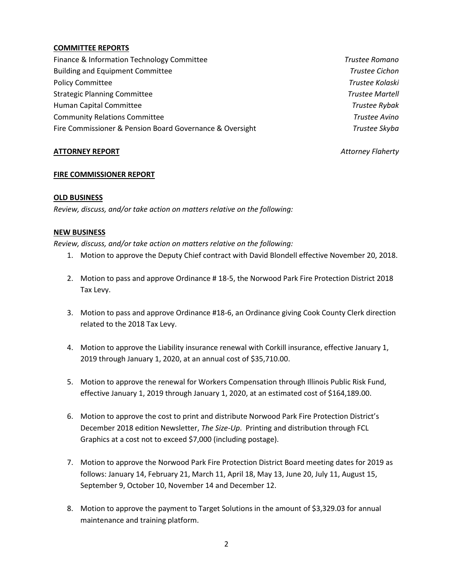## **COMMITTEE REPORTS**

Finance & Information Technology Committee *Trustee Romano* Building and Equipment Committee *Trustee Cichon*  Policy Committee *Trustee Kolaski*  Strategic Planning Committee *Trustee Martell* Human Capital Committee *Trustee Rybak* Community Relations Committee *Trustee Avino*  Fire Commissioner & Pension Board Governance & Oversight *Trustee Skyba* 

## **ATTORNEY REPORT** *Attorney Flaherty*

## **FIRE COMMISSIONER REPORT**

# **OLD BUSINESS**

*Review, discuss, and/or take action on matters relative on the following:* 

## **NEW BUSINESS**

*Review, discuss, and/or take action on matters relative on the following:* 

- 1. Motion to approve the Deputy Chief contract with David Blondell effective November 20, 2018.
- 2. Motion to pass and approve Ordinance # 18-5, the Norwood Park Fire Protection District 2018 Tax Levy.
- 3. Motion to pass and approve Ordinance #18-6, an Ordinance giving Cook County Clerk direction related to the 2018 Tax Levy.
- 4. Motion to approve the Liability insurance renewal with Corkill insurance, effective January 1, 2019 through January 1, 2020, at an annual cost of \$35,710.00.
- 5. Motion to approve the renewal for Workers Compensation through Illinois Public Risk Fund, effective January 1, 2019 through January 1, 2020, at an estimated cost of \$164,189.00.
- 6. Motion to approve the cost to print and distribute Norwood Park Fire Protection District's December 2018 edition Newsletter, *The Size-Up*. Printing and distribution through FCL Graphics at a cost not to exceed \$7,000 (including postage).
- 7. Motion to approve the Norwood Park Fire Protection District Board meeting dates for 2019 as follows: January 14, February 21, March 11, April 18, May 13, June 20, July 11, August 15, September 9, October 10, November 14 and December 12.
- 8. Motion to approve the payment to Target Solutions in the amount of \$3,329.03 for annual maintenance and training platform.